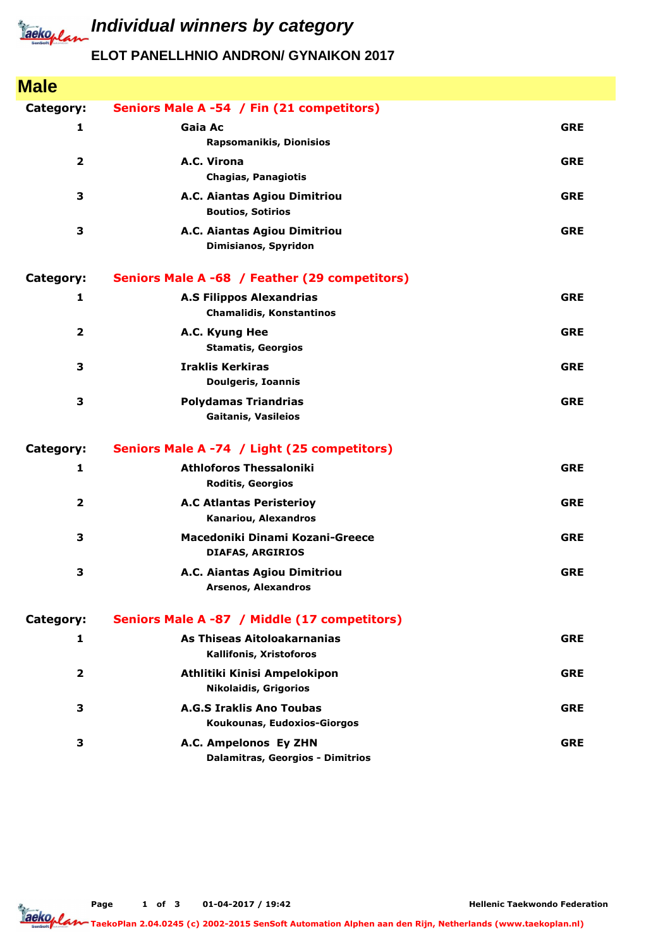

## *Iaeko<sub>plan</sub>* Individual winners by category

## **ELOT PANELLHNIO ANDRON/ GYNAIKON 2017**

| <b>Male</b>             |                                                                    |            |
|-------------------------|--------------------------------------------------------------------|------------|
| Category:               | Seniors Male A -54 / Fin (21 competitors)                          |            |
| 1                       | Gaia Ac<br><b>Rapsomanikis, Dionisios</b>                          | <b>GRE</b> |
| $\overline{\mathbf{2}}$ | A.C. Virona<br>Chagias, Panagiotis                                 | <b>GRE</b> |
| 3                       | A.C. Aiantas Agiou Dimitriou<br><b>Boutios, Sotirios</b>           | <b>GRE</b> |
| 3                       | A.C. Aiantas Agiou Dimitriou<br>Dimisianos, Spyridon               | <b>GRE</b> |
| Category:               | Seniors Male A -68 / Feather (29 competitors)                      |            |
| 1                       | <b>A.S Filippos Alexandrias</b><br><b>Chamalidis, Konstantinos</b> | <b>GRE</b> |
| $\overline{\mathbf{2}}$ | A.C. Kyung Hee<br><b>Stamatis, Georgios</b>                        | <b>GRE</b> |
| 3                       | <b>Iraklis Kerkiras</b><br><b>Doulgeris, Ioannis</b>               | <b>GRE</b> |
| 3                       | <b>Polydamas Triandrias</b><br><b>Gaitanis, Vasileios</b>          | <b>GRE</b> |
| Category:               | Seniors Male A -74 / Light (25 competitors)                        |            |
| 1                       | <b>Athloforos Thessaloniki</b><br><b>Roditis, Georgios</b>         | <b>GRE</b> |
| $\overline{\mathbf{2}}$ | <b>A.C Atlantas Peristerioy</b><br>Kanariou, Alexandros            | <b>GRE</b> |
| 3                       | Macedoniki Dinami Kozani-Greece<br><b>DIAFAS, ARGIRIOS</b>         | <b>GRE</b> |
| 3                       | A.C. Aiantas Agiou Dimitriou<br><b>Arsenos, Alexandros</b>         | <b>GRE</b> |
| Category:               | Seniors Male A -87 / Middle (17 competitors)                       |            |
| 1                       | As Thiseas Aitoloakarnanias<br>Kallifonis, Xristoforos             | <b>GRE</b> |
| $\overline{2}$          | Athlitiki Kinisi Ampelokipon<br><b>Nikolaidis, Grigorios</b>       | <b>GRE</b> |
| 3                       | <b>A.G.S Iraklis Ano Toubas</b><br>Koukounas, Eudoxios-Giorgos     | <b>GRE</b> |
| 3                       | A.C. Ampelonos Ey ZHN<br>Dalamitras, Georgios - Dimitrios          | <b>GRE</b> |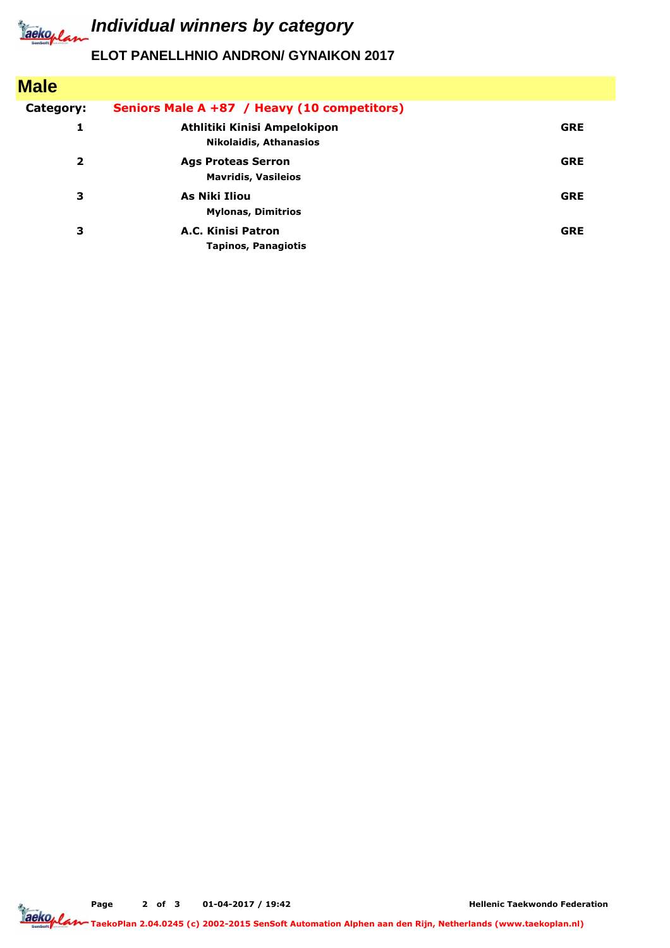

*Iaeko<sub>plan</sub>* Individual winners by category

## **ELOT PANELLHNIO ANDRON/ GYNAIKON 2017**

| <b>Male</b>             |                                                               |            |
|-------------------------|---------------------------------------------------------------|------------|
| Category:               | Seniors Male A +87 / Heavy (10 competitors)                   |            |
| 1                       | Athlitiki Kinisi Ampelokipon<br><b>Nikolaidis, Athanasios</b> | <b>GRE</b> |
| $\overline{\mathbf{2}}$ | <b>Ags Proteas Serron</b><br><b>Mavridis, Vasileios</b>       | <b>GRE</b> |
| 3                       | As Niki Iliou<br><b>Mylonas, Dimitrios</b>                    | <b>GRE</b> |
| 3                       | A.C. Kinisi Patron<br><b>Tapinos, Panagiotis</b>              | <b>GRE</b> |



**Hellenic Taekwondo Federation**